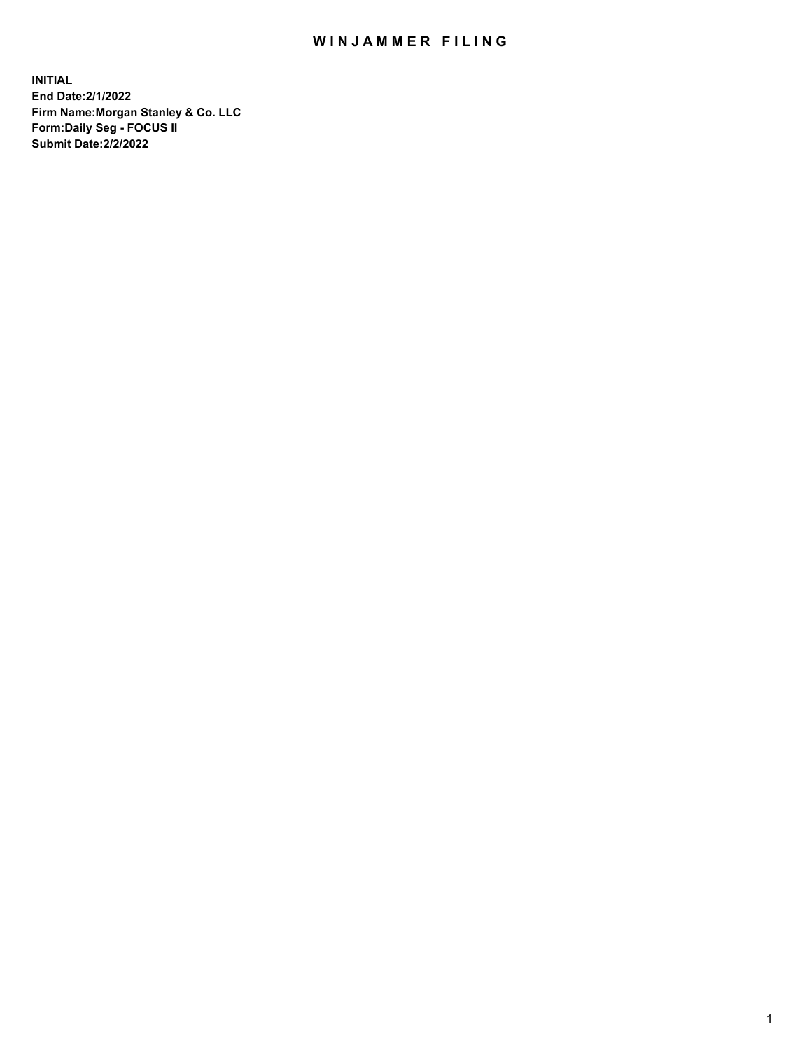## WIN JAMMER FILING

**INITIAL End Date:2/1/2022 Firm Name:Morgan Stanley & Co. LLC Form:Daily Seg - FOCUS II Submit Date:2/2/2022**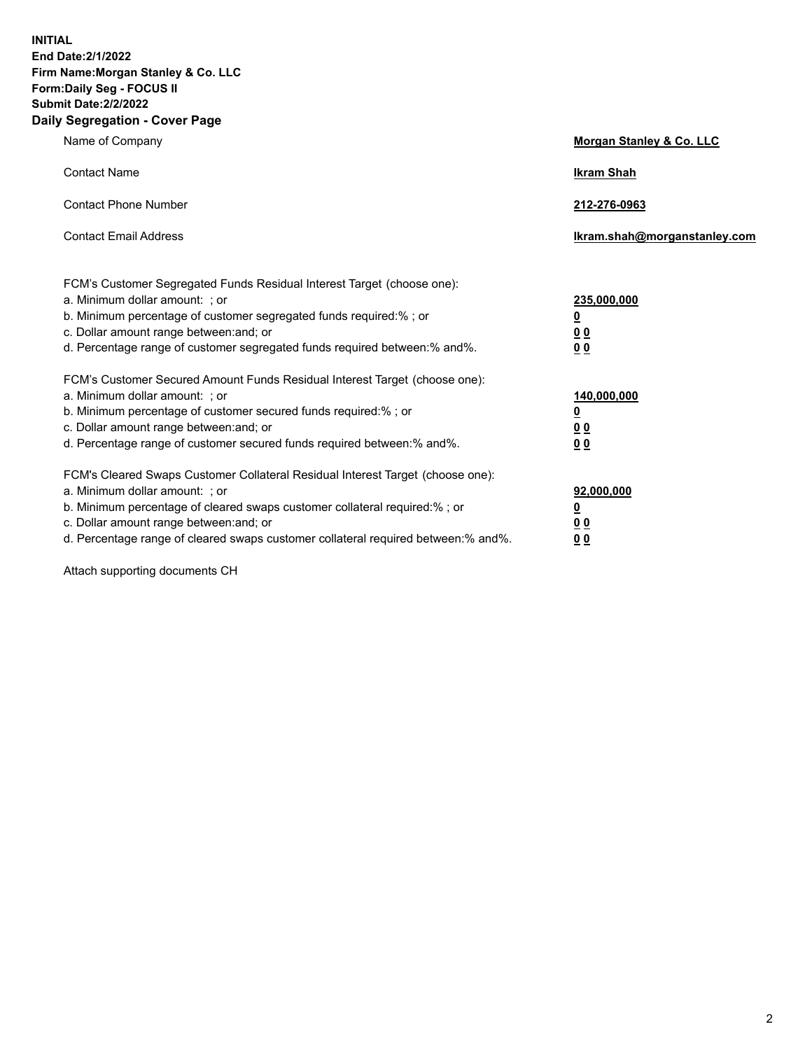**INITIAL End Date:2/1/2022 Firm Name:Morgan Stanley & Co. LLC Form:Daily Seg - FOCUS II Submit Date:2/2/2022 Daily Segregation - Cover Page**

| Name of Company                                                                                                                                                                                                                                                                                                               | Morgan Stanley & Co. LLC                                                     |
|-------------------------------------------------------------------------------------------------------------------------------------------------------------------------------------------------------------------------------------------------------------------------------------------------------------------------------|------------------------------------------------------------------------------|
| <b>Contact Name</b>                                                                                                                                                                                                                                                                                                           | <b>Ikram Shah</b>                                                            |
| <b>Contact Phone Number</b>                                                                                                                                                                                                                                                                                                   | 212-276-0963                                                                 |
| <b>Contact Email Address</b>                                                                                                                                                                                                                                                                                                  | Ikram.shah@morganstanley.com                                                 |
| FCM's Customer Segregated Funds Residual Interest Target (choose one):<br>a. Minimum dollar amount: ; or<br>b. Minimum percentage of customer segregated funds required:% ; or<br>c. Dollar amount range between: and; or<br>d. Percentage range of customer segregated funds required between: % and %.                      | 235,000,000<br><u>0</u><br><u>00</u><br>0 Q                                  |
| FCM's Customer Secured Amount Funds Residual Interest Target (choose one):<br>a. Minimum dollar amount: ; or<br>b. Minimum percentage of customer secured funds required:%; or<br>c. Dollar amount range between: and; or<br>d. Percentage range of customer secured funds required between:% and%.                           | 140,000,000<br><u>0</u><br>$\underline{0}$ $\underline{0}$<br>0 <sup>0</sup> |
| FCM's Cleared Swaps Customer Collateral Residual Interest Target (choose one):<br>a. Minimum dollar amount: ; or<br>b. Minimum percentage of cleared swaps customer collateral required:%; or<br>c. Dollar amount range between: and; or<br>d. Percentage range of cleared swaps customer collateral required between:% and%. | 92,000,000<br><u>0</u><br><u>00</u><br>00                                    |

Attach supporting documents CH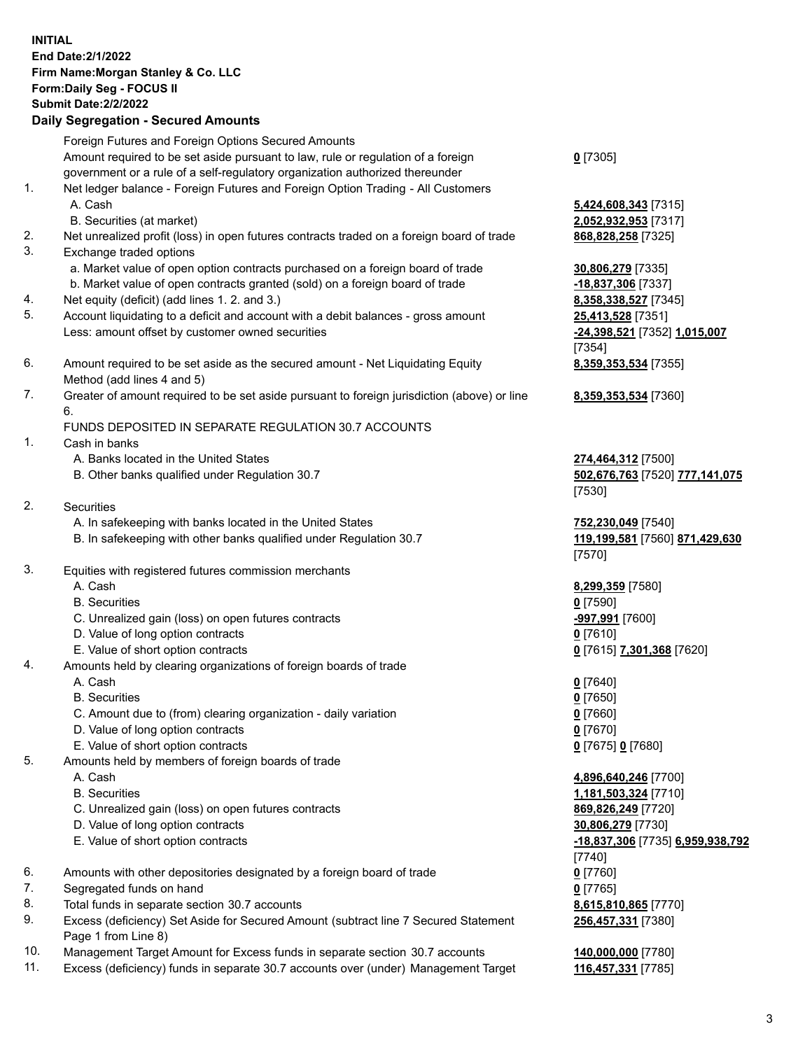| <b>INITIAL</b> | End Date: 2/1/2022<br>Firm Name: Morgan Stanley & Co. LLC<br>Form: Daily Seg - FOCUS II<br><b>Submit Date: 2/2/2022</b><br><b>Daily Segregation - Secured Amounts</b> |                                                      |
|----------------|-----------------------------------------------------------------------------------------------------------------------------------------------------------------------|------------------------------------------------------|
|                | Foreign Futures and Foreign Options Secured Amounts                                                                                                                   |                                                      |
|                | Amount required to be set aside pursuant to law, rule or regulation of a foreign                                                                                      | $0$ [7305]                                           |
| 1.             | government or a rule of a self-regulatory organization authorized thereunder<br>Net ledger balance - Foreign Futures and Foreign Option Trading - All Customers       |                                                      |
|                | A. Cash                                                                                                                                                               | 5,424,608,343 [7315]                                 |
|                | B. Securities (at market)                                                                                                                                             | 2,052,932,953 [7317]                                 |
| 2.             | Net unrealized profit (loss) in open futures contracts traded on a foreign board of trade                                                                             | 868,828,258 [7325]                                   |
| 3.             | Exchange traded options                                                                                                                                               |                                                      |
|                | a. Market value of open option contracts purchased on a foreign board of trade<br>b. Market value of open contracts granted (sold) on a foreign board of trade        | 30,806,279 [7335]<br>-18,837,306 [7337]              |
| 4.             | Net equity (deficit) (add lines 1. 2. and 3.)                                                                                                                         | 8,358,338,527 [7345]                                 |
| 5.             | Account liquidating to a deficit and account with a debit balances - gross amount                                                                                     | 25,413,528 [7351]                                    |
|                | Less: amount offset by customer owned securities                                                                                                                      | -24,398,521 [7352] 1,015,007                         |
| 6.             | Amount required to be set aside as the secured amount - Net Liquidating Equity                                                                                        | [7354]<br>8,359,353,534 [7355]                       |
|                | Method (add lines 4 and 5)                                                                                                                                            |                                                      |
| 7.             | Greater of amount required to be set aside pursuant to foreign jurisdiction (above) or line<br>6.                                                                     | 8,359,353,534 [7360]                                 |
|                | FUNDS DEPOSITED IN SEPARATE REGULATION 30.7 ACCOUNTS                                                                                                                  |                                                      |
| 1.             | Cash in banks<br>A. Banks located in the United States                                                                                                                |                                                      |
|                | B. Other banks qualified under Regulation 30.7                                                                                                                        | 274,464,312 [7500]<br>502,676,763 [7520] 777,141,075 |
|                |                                                                                                                                                                       | [7530]                                               |
| 2.             | Securities                                                                                                                                                            |                                                      |
|                | A. In safekeeping with banks located in the United States                                                                                                             | 752,230,049 [7540]                                   |
|                | B. In safekeeping with other banks qualified under Regulation 30.7                                                                                                    | 119,199,581 [7560] 871,429,630<br>[7570]             |
| 3.             | Equities with registered futures commission merchants                                                                                                                 |                                                      |
|                | A. Cash                                                                                                                                                               | 8,299,359 [7580]                                     |
|                | <b>B.</b> Securities                                                                                                                                                  | $0$ [7590]                                           |
|                | C. Unrealized gain (loss) on open futures contracts<br>D. Value of long option contracts                                                                              | -997,991 [7600]                                      |
|                | E. Value of short option contracts                                                                                                                                    | $0$ [7610]<br>0 [7615] 7,301,368 [7620]              |
| 4.             | Amounts held by clearing organizations of foreign boards of trade                                                                                                     |                                                      |
|                | A. Cash                                                                                                                                                               | $0$ [7640]                                           |
|                | <b>B.</b> Securities                                                                                                                                                  | $0$ [7650]                                           |
|                | C. Amount due to (from) clearing organization - daily variation                                                                                                       | $0$ [7660]                                           |
|                | D. Value of long option contracts<br>E. Value of short option contracts                                                                                               | $0$ [7670]<br>0 [7675] 0 [7680]                      |
| 5.             | Amounts held by members of foreign boards of trade                                                                                                                    |                                                      |
|                | A. Cash                                                                                                                                                               | 4,896,640,246 [7700]                                 |
|                | <b>B.</b> Securities                                                                                                                                                  | 1,181,503,324 [7710]                                 |
|                | C. Unrealized gain (loss) on open futures contracts                                                                                                                   | 869,826,249 [7720]                                   |
|                | D. Value of long option contracts                                                                                                                                     | 30,806,279 [7730]                                    |
|                | E. Value of short option contracts                                                                                                                                    | -18,837,306 [7735] 6,959,938,792<br>[7740]           |
| 6.             | Amounts with other depositories designated by a foreign board of trade                                                                                                | $0$ [7760]                                           |
| 7.             | Segregated funds on hand                                                                                                                                              | $0$ [7765]                                           |
| 8.             | Total funds in separate section 30.7 accounts                                                                                                                         | 8,615,810,865 [7770]                                 |
| 9.             | Excess (deficiency) Set Aside for Secured Amount (subtract line 7 Secured Statement                                                                                   | 256,457,331 [7380]                                   |

10. Management Target Amount for Excess funds in separate section 30.7 accounts **140,000,000** [7780]

Page 1 from Line 8)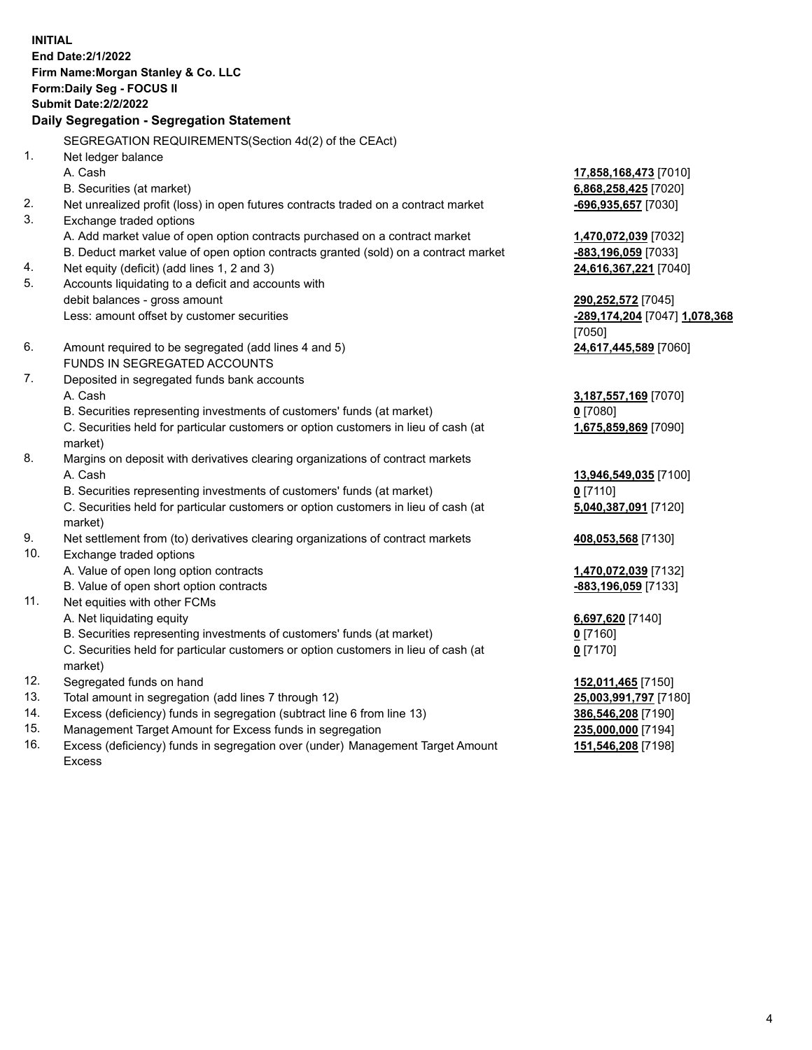**INITIAL End Date:2/1/2022 Firm Name:Morgan Stanley & Co. LLC Form:Daily Seg - FOCUS II Submit Date:2/2/2022 Daily Segregation - Segregation Statement** SEGREGATION REQUIREMENTS(Section 4d(2) of the CEAct) 1. Net ledger balance A. Cash **17,858,168,473** [7010] B. Securities (at market) **6,868,258,425** [7020] 2. Net unrealized profit (loss) in open futures contracts traded on a contract market **-696,935,657** [7030] 3. Exchange traded options A. Add market value of open option contracts purchased on a contract market **1,470,072,039** [7032] B. Deduct market value of open option contracts granted (sold) on a contract market **-883,196,059** [7033] 4. Net equity (deficit) (add lines 1, 2 and 3) **24,616,367,221** [7040] 5. Accounts liquidating to a deficit and accounts with debit balances - gross amount **290,252,572** [7045] Less: amount offset by customer securities **-289,174,204** [7047] **1,078,368** [7050] 6. Amount required to be segregated (add lines 4 and 5) **24,617,445,589** [7060] FUNDS IN SEGREGATED ACCOUNTS 7. Deposited in segregated funds bank accounts A. Cash **3,187,557,169** [7070] B. Securities representing investments of customers' funds (at market) **0** [7080] C. Securities held for particular customers or option customers in lieu of cash (at market) **1,675,859,869** [7090] 8. Margins on deposit with derivatives clearing organizations of contract markets A. Cash **13,946,549,035** [7100] B. Securities representing investments of customers' funds (at market) **0** [7110] C. Securities held for particular customers or option customers in lieu of cash (at market) **5,040,387,091** [7120] 9. Net settlement from (to) derivatives clearing organizations of contract markets **408,053,568** [7130] 10. Exchange traded options A. Value of open long option contracts **1,470,072,039** [7132] B. Value of open short option contracts **-883,196,059** [7133] 11. Net equities with other FCMs A. Net liquidating equity **6,697,620** [7140] B. Securities representing investments of customers' funds (at market) **0** [7160] C. Securities held for particular customers or option customers in lieu of cash (at market) **0** [7170] 12. Segregated funds on hand **152,011,465** [7150] 13. Total amount in segregation (add lines 7 through 12) **25,003,991,797** [7180] 14. Excess (deficiency) funds in segregation (subtract line 6 from line 13) **386,546,208** [7190] 15. Management Target Amount for Excess funds in segregation **235,000,000** [7194]

16. Excess (deficiency) funds in segregation over (under) Management Target Amount Excess

**151,546,208** [7198]